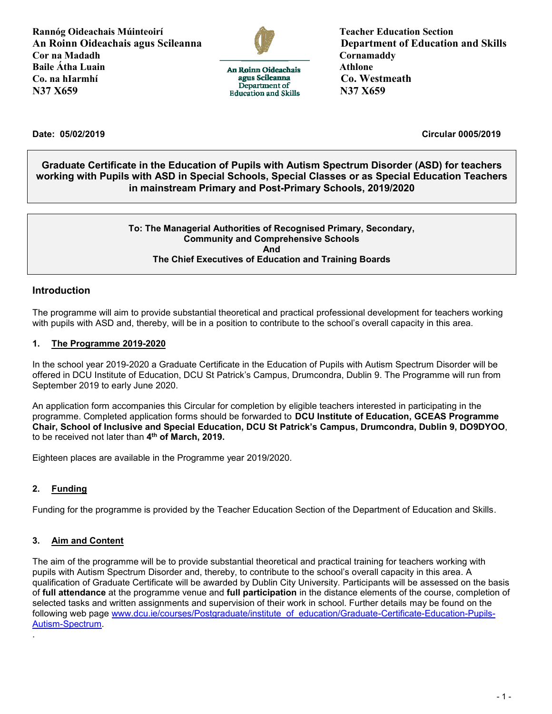**Rannóg Oideachais Múinteoirí Teacher Education Section An Roinn Oideachais agus Scileanna Department of Education and Skills Cornamaddy Cornamaddy Cornamaddy Cornamaddy Cornamaddy Baile Átha Luain** Athlone **Athlone Athlone Athlone Athlone Athlone** Co. na hIarmhí**i** agus Scileanna Co. Westmeath<br>
Department of NATIVE N37 X659 **N37 X659** Requestion and Skills N37 X659



**Date: 05/02/2019 Circular 0005/2019**

**Graduate Certificate in the Education of Pupils with Autism Spectrum Disorder (ASD) for teachers working with Pupils with ASD in Special Schools, Special Classes or as Special Education Teachers in mainstream Primary and Post-Primary Schools, 2019/2020**

#### **To: The Managerial Authorities of Recognised Primary, Secondary, Community and Comprehensive Schools And The Chief Executives of Education and Training Boards**

#### **Introduction**

The programme will aim to provide substantial theoretical and practical professional development for teachers working with pupils with ASD and, thereby, will be in a position to contribute to the school's overall capacity in this area.

#### **1. The Programme 2019-2020**

In the school year 2019-2020 a Graduate Certificate in the Education of Pupils with Autism Spectrum Disorder will be offered in DCU Institute of Education, DCU St Patrick's Campus, Drumcondra, Dublin 9. The Programme will run from September 2019 to early June 2020.

An application form accompanies this Circular for completion by eligible teachers interested in participating in the programme. Completed application forms should be forwarded to **DCU Institute of Education, GCEAS Programme Chair, School of Inclusive and Special Education, DCU St Patrick's Campus, Drumcondra, Dublin 9, DO9DYOO**, to be received not later than **4 th of March, 2019.**

Eighteen places are available in the Programme year 2019/2020.

### **2. Funding**

.

Funding for the programme is provided by the Teacher Education Section of the Department of Education and Skills.

#### **3. Aim and Content**

The aim of the programme will be to provide substantial theoretical and practical training for teachers working with pupils with Autism Spectrum Disorder and, thereby, to contribute to the school's overall capacity in this area. A qualification of Graduate Certificate will be awarded by Dublin City University. Participants will be assessed on the basis of **full attendance** at the programme venue and **full participation** in the distance elements of the course, completion of selected tasks and written assignments and supervision of their work in school. Further details may be found on the following web page [www.dcu.ie/courses/Postgraduate/institute\\_of\\_education/Graduate-Certificate-Education-Pupils-](http://www.dcu.ie/courses/Postgraduate/institute_of_education/Graduate-Certificate-Education-Pupils-Autism-Spectrum)[Autism-Spectrum.](http://www.dcu.ie/courses/Postgraduate/institute_of_education/Graduate-Certificate-Education-Pupils-Autism-Spectrum)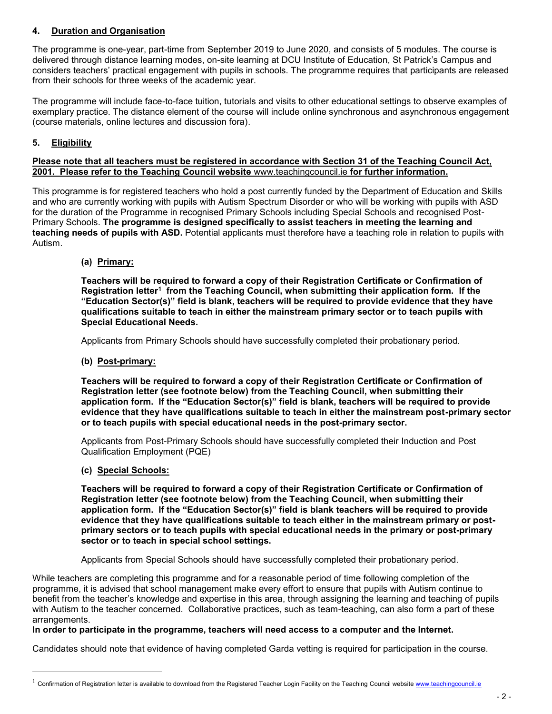#### **4. Duration and Organisation**

The programme is one-year, part-time from September 2019 to June 2020, and consists of 5 modules. The course is delivered through distance learning modes, on-site learning at DCU Institute of Education, St Patrick's Campus and considers teachers' practical engagement with pupils in schools. The programme requires that participants are released from their schools for three weeks of the academic year.

The programme will include face-to-face tuition, tutorials and visits to other educational settings to observe examples of exemplary practice. The distance element of the course will include online synchronous and asynchronous engagement (course materials, online lectures and discussion fora).

#### **5. Eligibility**

#### **Please note that all teachers must be registered in accordance with Section 31 of the Teaching Council Act, 2001. Please refer to the Teaching Council website** [www.teachingcouncil.ie](http://www.teachingcouncil.ie/) **for further information.**

This programme is for registered teachers who hold a post currently funded by the Department of Education and Skills and who are currently working with pupils with Autism Spectrum Disorder or who will be working with pupils with ASD for the duration of the Programme in recognised Primary Schools including Special Schools and recognised Post-Primary Schools. **The programme is designed specifically to assist teachers in meeting the learning and teaching needs of pupils with ASD.** Potential applicants must therefore have a teaching role in relation to pupils with Autism.

#### **(a) Primary:**

**Teachers will be required to forward a copy of their Registration Certificate or Confirmation of Registration letter<sup>1</sup> from the Teaching Council, when submitting their application form. If the "Education Sector(s)" field is blank, teachers will be required to provide evidence that they have qualifications suitable to teach in either the mainstream primary sector or to teach pupils with Special Educational Needs.**

Applicants from Primary Schools should have successfully completed their probationary period.

#### **(b) Post-primary:**

**Teachers will be required to forward a copy of their Registration Certificate or Confirmation of Registration letter (see footnote below) from the Teaching Council, when submitting their application form. If the "Education Sector(s)" field is blank, teachers will be required to provide evidence that they have qualifications suitable to teach in either the mainstream post-primary sector or to teach pupils with special educational needs in the post-primary sector.**

Applicants from Post-Primary Schools should have successfully completed their Induction and Post Qualification Employment (PQE)

#### **(c) Special Schools:**

L,

**Teachers will be required to forward a copy of their Registration Certificate or Confirmation of Registration letter (see footnote below) from the Teaching Council, when submitting their application form. If the "Education Sector(s)" field is blank teachers will be required to provide evidence that they have qualifications suitable to teach either in the mainstream primary or postprimary sectors or to teach pupils with special educational needs in the primary or post-primary sector or to teach in special school settings.**

Applicants from Special Schools should have successfully completed their probationary period.

While teachers are completing this programme and for a reasonable period of time following completion of the programme, it is advised that school management make every effort to ensure that pupils with Autism continue to benefit from the teacher's knowledge and expertise in this area, through assigning the learning and teaching of pupils with Autism to the teacher concerned. Collaborative practices, such as team-teaching, can also form a part of these arrangements.

#### **In order to participate in the programme, teachers will need access to a computer and the Internet.**

Candidates should note that evidence of having completed Garda vetting is required for participation in the course.

<sup>1</sup> Confirmation of Registration letter is available to download from the Registered Teacher Login Facility on the Teaching Council websit[e www.teachingcouncil.ie](http://www.teachingcouncil.ie/)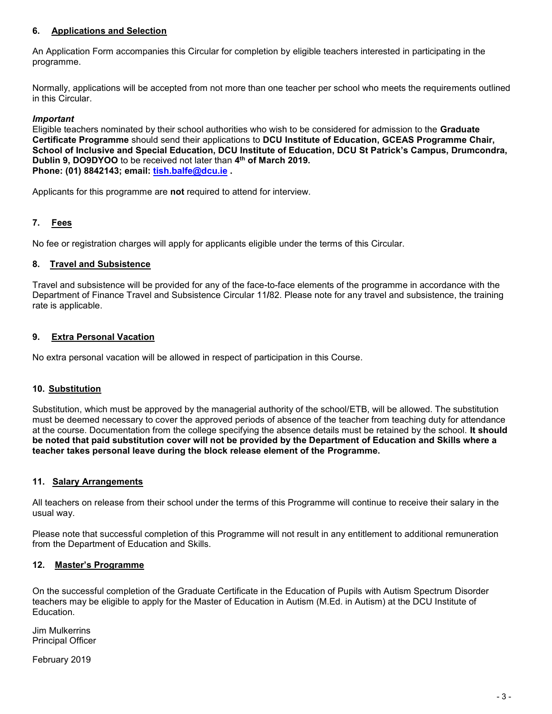#### **6. Applications and Selection**

An Application Form accompanies this Circular for completion by eligible teachers interested in participating in the programme.

Normally, applications will be accepted from not more than one teacher per school who meets the requirements outlined in this Circular.

#### *Important*

Eligible teachers nominated by their school authorities who wish to be considered for admission to the **Graduate Certificate Programme** should send their applications to **DCU Institute of Education, GCEAS Programme Chair, School of Inclusive and Special Education, DCU Institute of Education, DCU St Patrick's Campus, Drumcondra, Dublin 9, DO9DYOO** to be received not later than **4 th of March 2019. Phone: (01) 8842143; email: [tish.balfe@dcu.ie](mailto:tish.balfe@dcu.ie) .**

Applicants for this programme are **not** required to attend for interview.

#### **7. Fees**

No fee or registration charges will apply for applicants eligible under the terms of this Circular.

#### **8. Travel and Subsistence**

Travel and subsistence will be provided for any of the face-to-face elements of the programme in accordance with the Department of Finance Travel and Subsistence Circular 11**/**82. Please note for any travel and subsistence, the training rate is applicable.

#### **9. Extra Personal Vacation**

No extra personal vacation will be allowed in respect of participation in this Course.

#### **10. Substitution**

Substitution, which must be approved by the managerial authority of the school/ETB, will be allowed. The substitution must be deemed necessary to cover the approved periods of absence of the teacher from teaching duty for attendance at the course. Documentation from the college specifying the absence details must be retained by the school. **It should be noted that paid substitution cover will not be provided by the Department of Education and Skills where a teacher takes personal leave during the block release element of the Programme.**

#### **11. Salary Arrangements**

All teachers on release from their school under the terms of this Programme will continue to receive their salary in the usual way.

Please note that successful completion of this Programme will not result in any entitlement to additional remuneration from the Department of Education and Skills.

#### **12. Master's Programme**

On the successful completion of the Graduate Certificate in the Education of Pupils with Autism Spectrum Disorder teachers may be eligible to apply for the Master of Education in Autism (M.Ed. in Autism) at the DCU Institute of Education.

Jim Mulkerrins Principal Officer

February 2019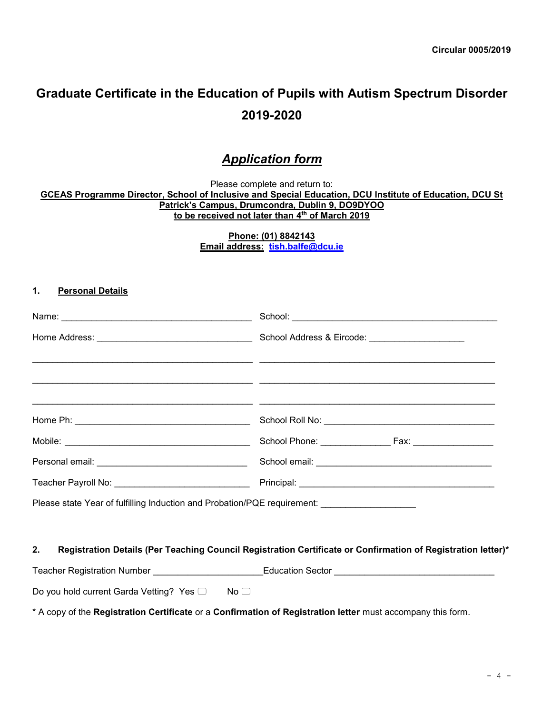# **Graduate Certificate in the Education of Pupils with Autism Spectrum Disorder 2019-2020**

# *Application form*

Please complete and return to:

**GCEAS Programme Director, School of Inclusive and Special Education, DCU Institute of Education, DCU St Patrick's Campus, Drumcondra, Dublin 9, DO9DYOO to be received not later than 4 th of March 2019**

> **Phone: (01) 8842143 Email address: [tish.balfe@dcu.ie](mailto:trish.balfe@dcu.ie)**

#### **1. Personal Details**

| Please state Year of fulfilling Induction and Probation/PQE requirement: __________________________ |                                                                                                              |
|-----------------------------------------------------------------------------------------------------|--------------------------------------------------------------------------------------------------------------|
|                                                                                                     |                                                                                                              |
| 2.                                                                                                  | Registration Details (Per Teaching Council Registration Certificate or Confirmation of Registration letter)* |
|                                                                                                     | Teacher Registration Number ________________________Education Sector _______________________________         |
| Do you hold current Garda Vetting? Yes □<br>No <sub>1</sub>                                         |                                                                                                              |

\* A copy of the **Registration Certificate** or a **Confirmation of Registration letter** must accompany this form.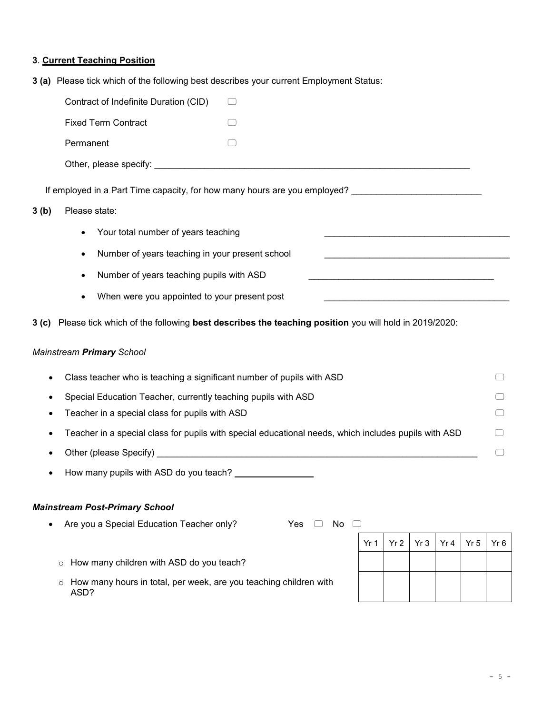# **3**. **Current Teaching Position**

**3 (a)** Please tick which of the following best describes your current Employment Status:

|      | Contract of Indefinite Duration (CID)                                                                     |     |                              |                 |                 |     |      |                 |     |
|------|-----------------------------------------------------------------------------------------------------------|-----|------------------------------|-----------------|-----------------|-----|------|-----------------|-----|
|      | <b>Fixed Term Contract</b>                                                                                |     |                              |                 |                 |     |      |                 |     |
|      | Permanent                                                                                                 |     |                              |                 |                 |     |      |                 |     |
|      |                                                                                                           |     |                              |                 |                 |     |      |                 |     |
|      | If employed in a Part Time capacity, for how many hours are you employed? __________________________      |     |                              |                 |                 |     |      |                 |     |
| 3(b) | Please state:                                                                                             |     |                              |                 |                 |     |      |                 |     |
|      | Your total number of years teaching                                                                       |     |                              |                 |                 |     |      |                 |     |
|      |                                                                                                           |     |                              |                 |                 |     |      |                 |     |
|      | Number of years teaching in your present school<br>$\bullet$                                              |     |                              |                 |                 |     |      |                 |     |
|      | Number of years teaching pupils with ASD                                                                  |     |                              |                 |                 |     |      |                 |     |
|      | When were you appointed to your present post                                                              |     |                              |                 |                 |     |      |                 |     |
|      | 3 (c) Please tick which of the following best describes the teaching position you will hold in 2019/2020: |     |                              |                 |                 |     |      |                 |     |
|      |                                                                                                           |     |                              |                 |                 |     |      |                 |     |
|      | Mainstream Primary School                                                                                 |     |                              |                 |                 |     |      |                 |     |
|      | Class teacher who is teaching a significant number of pupils with ASD                                     |     |                              |                 |                 |     |      |                 |     |
|      | Special Education Teacher, currently teaching pupils with ASD                                             |     |                              |                 |                 |     |      |                 |     |
|      | Teacher in a special class for pupils with ASD                                                            |     |                              |                 |                 |     |      |                 |     |
|      | Teacher in a special class for pupils with special educational needs, which includes pupils with ASD      |     |                              |                 |                 |     |      |                 |     |
|      |                                                                                                           |     |                              |                 |                 |     |      |                 |     |
|      |                                                                                                           |     |                              |                 |                 |     |      |                 |     |
|      |                                                                                                           |     |                              |                 |                 |     |      |                 |     |
|      | <b>Mainstream Post-Primary School</b>                                                                     |     |                              |                 |                 |     |      |                 |     |
|      | Are you a Special Education Teacher only?                                                                 | Yes | No<br>$\left( \quad \right)$ |                 |                 |     |      |                 |     |
|      |                                                                                                           |     |                              | Yr <sub>1</sub> | Yr <sub>2</sub> | Yr3 | Yr 4 | Yr <sub>5</sub> | Yr6 |
|      | How many children with ASD do you teach?<br>$\circ$                                                       |     |                              |                 |                 |     |      |                 |     |
|      |                                                                                                           |     |                              |                 |                 |     |      |                 |     |

 $\circ$  How many hours in total, per week, are you teaching children with ASD?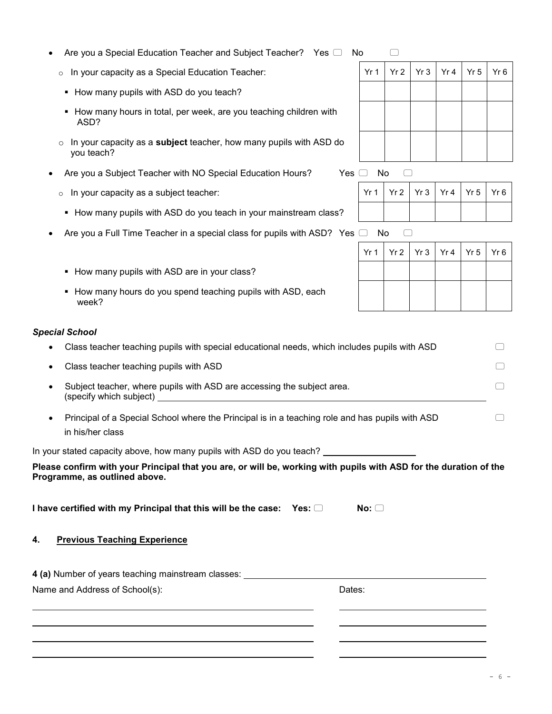#### Are you a Special Education Teacher and Subject Teacher? Yes  $\Box$  No  $\Box$

- $\circ$  In your capacity as a Special Education Teacher:
- How many pupils with ASD do you teach?
- **How many hours in total, per week, are you teaching children with** ASD?
- o In your capacity as a **subject** teacher, how many pupils with ASD do you teach?
- Are you a Subject Teacher with NO Special Education Hours? Yes  $\Box$  No  $\Box$ 
	- $\circ$  In your capacity as a subject teacher:
	- How many pupils with ASD do you teach in your mainstream class?
- Are you a Full Time Teacher in a special class for pupils with ASD? Yes  $\Box$  No  $\Box$ 
	- How many pupils with ASD are in your class?
	- How many hours do you spend teaching pupils with ASD, each week?

#### *Special School*

- Class teacher teaching pupils with special educational needs, which includes pupils with ASD Class teacher teaching pupils with ASD
- Subject teacher, where pupils with ASD are accessing the subject area. (specify which subject)
- Principal of a Special School where the Principal is in a teaching role and has pupils with ASD in his/her class

In your stated capacity above, how many pupils with ASD do you teach?

#### **Please confirm with your Principal that you are, or will be, working with pupils with ASD for the duration of the Programme, as outlined above.**

**I have certified with my Principal that this will be the case: Yes:**  $\Box$  **No:**  $\Box$ 

#### **4. Previous Teaching Experience**

| 4 (a) Number of years teaching mainstream classes: |        |
|----------------------------------------------------|--------|
| Name and Address of School(s):                     | Dates: |

|  | Yr 1   Yr 2   Yr 3   Yr 4   Yr 5   Yr 6 |  |
|--|-----------------------------------------|--|
|  |                                         |  |
|  |                                         |  |
|  |                                         |  |
|  |                                         |  |

| Yr 1   Yr 2   Yr 3   Yr 4   Yr 5   Yr 6 |  |  |  |
|-----------------------------------------|--|--|--|
|                                         |  |  |  |

|  | $Yr1$   $Yr2$   $Yr3$   $Yr4$   $Yr5$   $Yr6$ |  |
|--|-----------------------------------------------|--|
|  |                                               |  |
|  |                                               |  |
|  |                                               |  |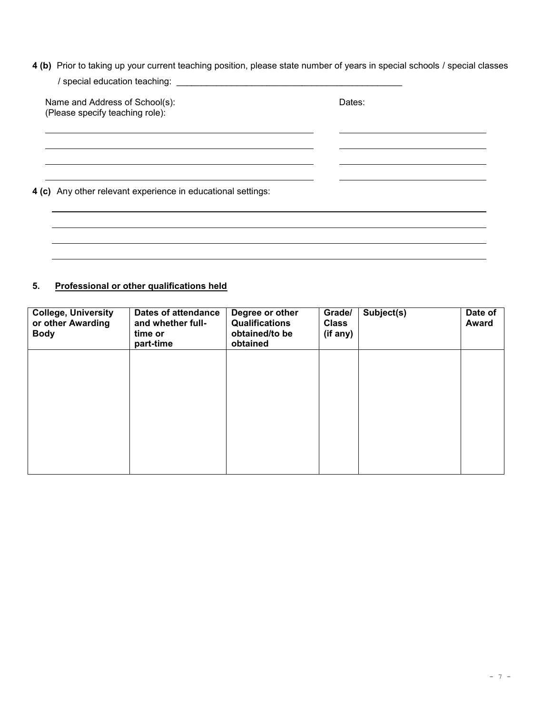**4 (b)** Prior to taking up your current teaching position, please state number of years in special schools / special classes  $\ell$  special education teaching:

| 7 special equication teaching.                                    |        |
|-------------------------------------------------------------------|--------|
| Name and Address of School(s):<br>(Please specify teaching role): | Dates: |
|                                                                   |        |
| 4 (c) Any other relevant experience in educational settings:      |        |
|                                                                   |        |
|                                                                   |        |

# **5. Professional or other qualifications held**

| <b>College, University</b><br>or other Awarding<br><b>Body</b> | <b>Dates of attendance</b><br>and whether full-<br>time or<br>part-time | Degree or other<br><b>Qualifications</b><br>obtained/to be<br>obtained | Grade/<br><b>Class</b><br>(if any) | Subject(s) | Date of<br><b>Award</b> |
|----------------------------------------------------------------|-------------------------------------------------------------------------|------------------------------------------------------------------------|------------------------------------|------------|-------------------------|
|                                                                |                                                                         |                                                                        |                                    |            |                         |
|                                                                |                                                                         |                                                                        |                                    |            |                         |
|                                                                |                                                                         |                                                                        |                                    |            |                         |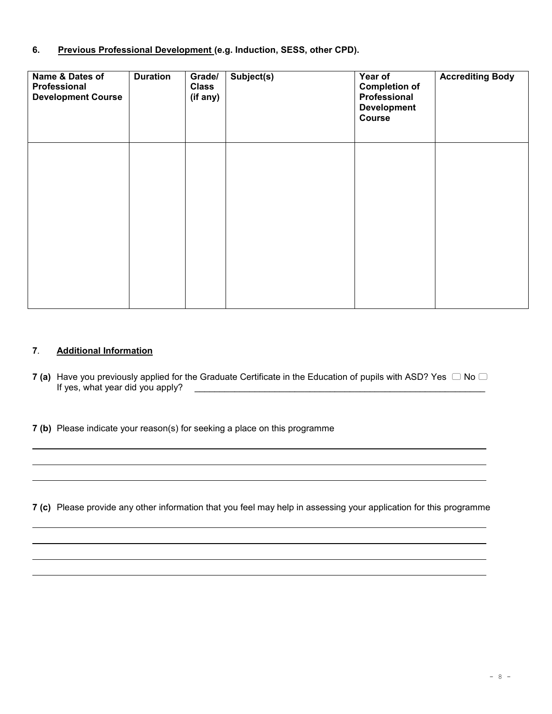#### **6. Previous Professional Development (e.g. Induction, SESS, other CPD).**

| Name & Dates of<br>Professional<br><b>Development Course</b> | <b>Duration</b> | Grade/<br><b>Class</b><br>(if any) | Subject(s) | Year of<br><b>Completion of</b><br>Professional<br><b>Development</b><br>Course | <b>Accrediting Body</b> |
|--------------------------------------------------------------|-----------------|------------------------------------|------------|---------------------------------------------------------------------------------|-------------------------|
|                                                              |                 |                                    |            |                                                                                 |                         |
|                                                              |                 |                                    |            |                                                                                 |                         |

#### **7***.* **Additional Information**

**7** (a) Have you previously applied for the Graduate Certificate in the Education of pupils with ASD? Yes  $\Box$  No  $\Box$ <br>If yes, what year did you apply? If yes, where  $y$  apply?  $\mathcal{L}^{\mathcal{L}}$ 

**7 (b)** Please indicate your reason(s) for seeking a place on this programme

**7 (c)** Please provide any other information that you feel may help in assessing your application for this programme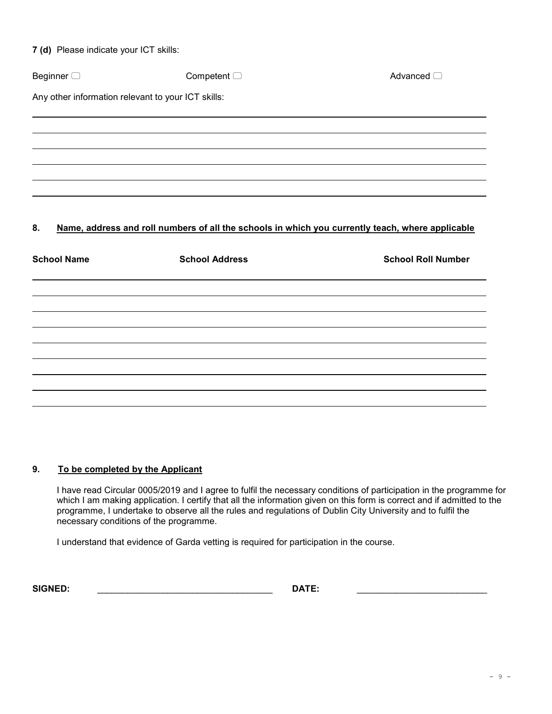|  | 7 (d) Please indicate your ICT skills: |  |  |  |
|--|----------------------------------------|--|--|--|
|--|----------------------------------------|--|--|--|

| Beginner $\Box$                                    | Competent $\Box$                                                                                 | Advanced O                |
|----------------------------------------------------|--------------------------------------------------------------------------------------------------|---------------------------|
| Any other information relevant to your ICT skills: |                                                                                                  |                           |
|                                                    |                                                                                                  |                           |
|                                                    |                                                                                                  |                           |
|                                                    |                                                                                                  |                           |
|                                                    |                                                                                                  |                           |
| 8.                                                 | Name, address and roll numbers of all the schools in which you currently teach, where applicable |                           |
| <b>School Name</b>                                 | <b>School Address</b>                                                                            | <b>School Roll Number</b> |
|                                                    |                                                                                                  |                           |
|                                                    |                                                                                                  |                           |
|                                                    |                                                                                                  |                           |
|                                                    |                                                                                                  |                           |
|                                                    |                                                                                                  |                           |
|                                                    |                                                                                                  |                           |

### **9. To be completed by the Applicant**

I have read Circular 0005/2019 and I agree to fulfil the necessary conditions of participation in the programme for which I am making application. I certify that all the information given on this form is correct and if admitted to the programme, I undertake to observe all the rules and regulations of Dublin City University and to fulfil the necessary conditions of the programme.

I understand that evidence of Garda vetting is required for participation in the course.

**SIGNED:** \_\_\_\_\_\_\_\_\_\_\_\_\_\_\_\_\_\_\_\_\_\_\_\_\_\_\_\_\_\_\_\_\_\_\_ **DATE:** \_\_\_\_\_\_\_\_\_\_\_\_\_\_\_\_\_\_\_\_\_\_\_\_\_\_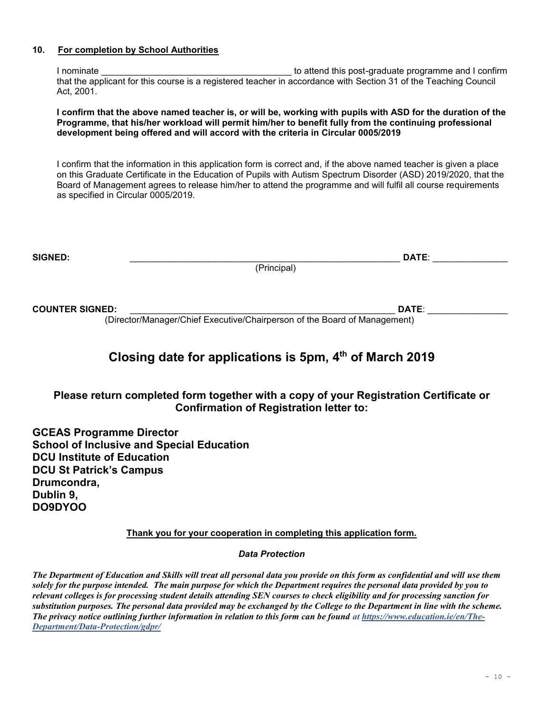#### **10. For completion by School Authorities**

I nominate **I** nominate **EXECUTE:** The state of the state of the state of the state of the state of the state of the state of the state of the state of the state of the state of the state of the state of the state of the s that the applicant for this course is a registered teacher in accordance with Section 31 of the Teaching Council Act, 2001.

**I confirm that the above named teacher is, or will be, working with pupils with ASD for the duration of the Programme, that his/her workload will permit him/her to benefit fully from the continuing professional development being offered and will accord with the criteria in Circular 0005/2019**

I confirm that the information in this application form is correct and, if the above named teacher is given a place on this Graduate Certificate in the Education of Pupils with Autism Spectrum Disorder (ASD) 2019/2020, that the Board of Management agrees to release him/her to attend the programme and will fulfil all course requirements as specified in Circular 0005/2019.

| <b>SIGNED:</b> |                         | <b>DATE</b> |
|----------------|-------------------------|-------------|
|                | <sup>"O</sup> rincipal) |             |

**COUNTER SIGNED:** \_\_\_\_\_\_\_\_\_\_\_\_\_\_\_\_\_\_\_\_\_\_\_\_\_\_\_\_\_\_\_\_\_\_\_\_\_\_\_\_\_\_\_\_\_\_\_\_\_\_\_\_\_ **DATE**: \_\_\_\_\_\_\_\_\_\_\_\_\_\_\_\_

(Director/Manager/Chief Executive/Chairperson of the Board of Management)

# **Closing date for applications is 5pm, 4 th of March 2019**

# **Please return completed form together with a copy of your Registration Certificate or Confirmation of Registration letter to:**

**GCEAS Programme Director School of Inclusive and Special Education DCU Institute of Education DCU St Patrick's Campus Drumcondra, Dublin 9, DO9DYOO**

**Thank you for your cooperation in completing this application form.**

*Data Protection*

*The Department of Education and Skills will treat all personal data you provide on this form as confidential and will use them solely for the purpose intended. The main purpose for which the Department requires the personal data provided by you to relevant colleges is for processing student details attending SEN courses to check eligibility and for processing sanction for substitution purposes. The personal data provided may be exchanged by the College to the Department in line with the scheme. The privacy notice outlining further information in relation to this form can be found at [https://www.education.ie/en/The-](https://www.education.ie/en/The-Department/Data-Protection/gdpr/)[Department/Data-Protection/gdpr/](https://www.education.ie/en/The-Department/Data-Protection/gdpr/)*